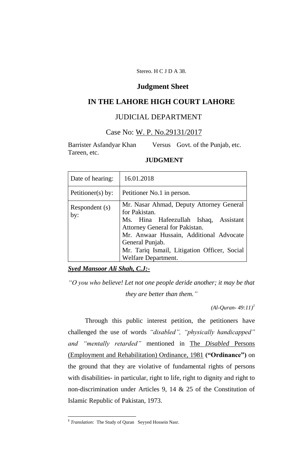Stereo. H C J D A 38.

## **Judgment Sheet**

# **IN THE LAHORE HIGH COURT LAHORE**

# JUDICIAL DEPARTMENT

# Case No: W. P. No.29131/2017

Barrister Asfandyar Khan Tareen, etc. Versus Govt. of the Punjab, etc.

## **JUDGMENT**

| Date of hearing:      | 16.01.2018                                                                                                                                                                                                                                                                       |
|-----------------------|----------------------------------------------------------------------------------------------------------------------------------------------------------------------------------------------------------------------------------------------------------------------------------|
| Petitioner(s) by:     | Petitioner No.1 in person.                                                                                                                                                                                                                                                       |
| Respondent (s)<br>by: | Mr. Nasar Ahmad, Deputy Attorney General<br>for Pakistan.<br>Ms. Hina Hafeezullah Ishaq, Assistant<br>Attorney General for Pakistan.<br>Mr. Anwaar Hussain, Additional Advocate<br>General Punjab.<br>Mr. Tariq Ismail, Litigation Officer, Social<br><b>Welfare Department.</b> |

*Syed Mansoor Ali Shah, C.J:-*

*"O you who believe! Let not one people deride another; it may be that they are better than them."*

*(Al-Quran- 49:11)<sup>1</sup>*

Through this public interest petition, the petitioners have challenged the use of words *"disabled", "physically handicapped" and "mentally retarded"* mentioned in The *Disabled* Persons (Employment and Rehabilitation) Ordinance, 1981 **("Ordinance")** on the ground that they are violative of fundamental rights of persons with disabilities- in particular, right to life, right to dignity and right to non-discrimination under Articles 9, 14 & 25 of the Constitution of Islamic Republic of Pakistan, 1973.

**<sup>&</sup>lt;sup>1</sup>** *Translation:* The Study of Quran Seyyed Hossein Nasr.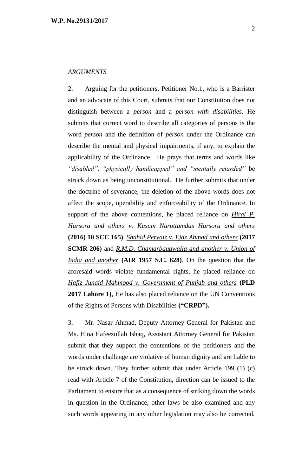### *ARGUMENTS*

2. Arguing for the petitioners, Petitioner No.1, who is a Barrister and an advocate of this Court, submits that our Constitution does not distinguish between a *person* and a *person with disabilities*. He submits that correct word to describe all categories of persons is the word *person* and the definition of *person* under the Ordinance can describe the mental and physical impairments, if any, to explain the applicability of the Ordinance. He prays that terms and words like *"disabled", "physically handicapped" and "mentally retarded"* be struck down as being unconstitutional. He further submits that under the doctrine of severance, the deletion of the above words does not affect the scope, operability and enforceability of the Ordinance. In support of the above contentions, he placed reliance on *Hiral P. Harsora and others v. Kusum Narottamdas Harsora and others* **(2016) 10 SCC 165)**, *Shahid Pervaiz v. Ejaz Ahmad and others* **(2017 SCMR 206)** and *R.M.D. Chamarbaugwalla and another v. Union of India and another* **(AIR 1957 S.C. 628)**. On the question that the aforesaid words violate fundamental rights, he placed reliance on *Hafiz Junaid Mahmood v. Government of Punjab and others* **(PLD 2017 Lahore 1)**, He has also placed reliance on the UN Conventions of the Rights of Persons with Disabilities **("CRPD").**

3. Mr. Nasar Ahmad, Deputy Attorney General for Pakistan and Ms. Hina Hafeezullah Ishaq, Assistant Attorney General for Pakistan submit that they support the contentions of the petitioners and the words under challenge are violative of human dignity and are liable to be struck down. They further submit that under Article 199 (1) (c) read with Article 7 of the Constitution, direction can be issued to the Parliament to ensure that as a consequence of striking down the words in question in the Ordinance, other laws be also examined and any such words appearing in any other legislation may also be corrected.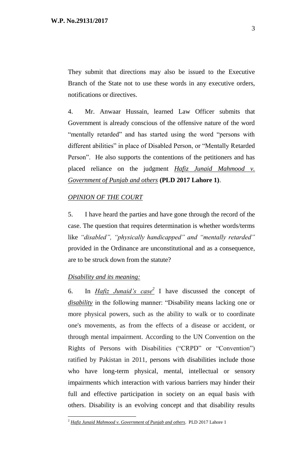They submit that directions may also be issued to the Executive Branch of the State not to use these words in any executive orders, notifications or directives.

4. Mr. Anwaar Hussain, learned Law Officer submits that Government is already conscious of the offensive nature of the word "mentally retarded" and has started using the word "persons with different abilities" in place of Disabled Person, or "Mentally Retarded Person". He also supports the contentions of the petitioners and has placed reliance on the judgment *Hafiz Junaid Mahmood v. Government of Punjab and others* **(PLD 2017 Lahore 1)**.

## *OPINION OF THE COURT*

5. I have heard the parties and have gone through the record of the case. The question that requires determination is whether words/terms like *"disabled", "physically handicapped" and "mentally retarded"* provided in the Ordinance are unconstitutional and as a consequence, are to be struck down from the statute?

## *Disability and its meaning:*

6. In *Hafiz Junaid's case<sup>2</sup>* I have discussed the concept of *disability* in the following manner: "Disability means lacking one or more physical powers, such as the ability to walk or to coordinate one's movements, as from the effects of a disease or accident, or through mental impairment. According to the UN Convention on the Rights of Persons with Disabilities ("CRPD" or "Convention") ratified by Pakistan in 2011, persons with disabilities include those who have long-term physical, mental, intellectual or sensory impairments which interaction with various barriers may hinder their full and effective participation in society on an equal basis with others. Disability is an evolving concept and that disability results

<sup>2</sup> *Hafiz Junaid Mahmood v. Government of Punjab and others*. PLD 2017 Lahore 1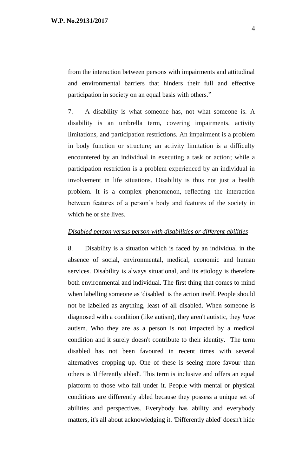from the interaction between persons with impairments and attitudinal and environmental barriers that hinders their full and effective participation in society on an equal basis with others."

7. A disability is what someone has, not what someone is. A disability is an umbrella term, covering impairments, activity limitations, and participation restrictions. An impairment is a problem in body function or structure; an activity limitation is a difficulty encountered by an individual in executing a task or action; while a participation restriction is a problem experienced by an individual in involvement in life situations. Disability is thus not just a health problem. It is a complex phenomenon, reflecting the interaction between features of a person's body and features of the society in which he or she lives.

### *Disabled person versus person with disabilities or different abilities*

8. Disability is a situation which is faced by an individual in the absence of social, environmental, medical, economic and human services. Disability is always situational, and its etiology is therefore both environmental and individual. The first thing that comes to mind when labelling someone as 'disabled' is the action itself. People should not be labelled as anything, least of all disabled. When someone is diagnosed with a condition (like autism), they aren't autistic, they *have* autism. Who they are as a person is not impacted by a medical condition and it surely doesn't contribute to their identity. The term disabled has not been favoured in recent times with several alternatives cropping up. One of these is seeing more favour than others is 'differently abled'. This term is inclusive and offers an equal platform to those who fall under it. People with mental or physical conditions are differently abled because they possess a unique set of abilities and perspectives. Everybody has ability and everybody matters, it's all about acknowledging it. 'Differently abled' doesn't hide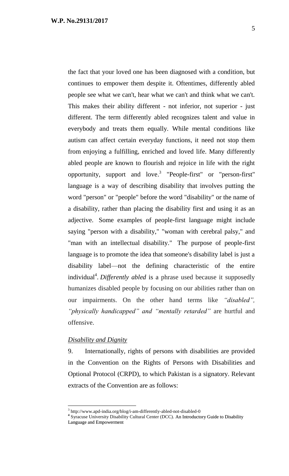the fact that your loved one has been diagnosed with a condition, but continues to empower them despite it. Oftentimes, differently abled people see what we can't, hear what we can't and think what we can't. This makes their ability different - not inferior, not superior - just different. The term differently abled recognizes talent and value in everybody and treats them equally. While mental conditions like autism can affect certain everyday functions, it need not stop them from enjoying a fulfilling, enriched and loved life. Many differently abled people are known to flourish and rejoice in life with the right opportunity, support and  $love.^3$  "People-first" or "person-first" language is a way of describing disability that involves putting the word "person" or "people" before the word "disability" or the name of a disability, rather than placing the disability first and using it as an adjective. Some examples of people-first language might include saying "person with a disability," "woman with cerebral palsy," and "man with an intellectual disability." [The purpose of people-first](http://www.asha.org/publications/journals/submissions/person_first.htm)  [language is to promote the idea that someone's disability label is just a](http://www.asha.org/publications/journals/submissions/person_first.htm)  [disability label—not the defining characteristic of the entire](http://www.asha.org/publications/journals/submissions/person_first.htm)  [individual](http://www.asha.org/publications/journals/submissions/person_first.htm)<sup>4</sup>. Differently abled is a phrase used because it supposedly humanizes disabled people by focusing on our abilities rather than on our impairments. On the other hand terms like *"disabled", "physically handicapped" and "mentally retarded"* are hurtful and offensive.

### *Disability and Dignity*

9. Internationally, rights of persons with disabilities are provided in the Convention on the Rights of Persons with Disabilities and Optional Protocol (CRPD), to which Pakistan is a signatory. Relevant extracts of the Convention are as follows:

<sup>&</sup>lt;sup>3</sup> http://www.apd-india.org/blog/i-am-differently-abled-not-disabled-0

<sup>&</sup>lt;sup>4</sup> Syracuse University Disability Cultural Center (DCC). An Introductory Guide to Disability Language and Empowerment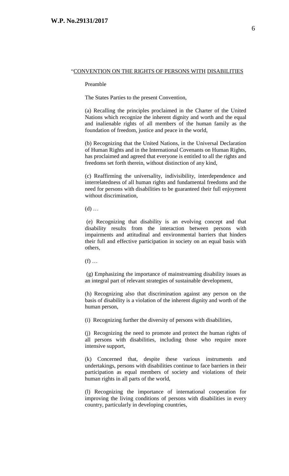### "CONVENTION ON THE RIGHTS OF PERSONS WITH DISABILITIES

Preamble

The States Parties to the present Convention,

(a) Recalling the principles proclaimed in the Charter of the United Nations which recognize the inherent dignity and worth and the equal and inalienable rights of all members of the human family as the foundation of freedom, justice and peace in the world,

(b) Recognizing that the United Nations, in the Universal Declaration of Human Rights and in the International Covenants on Human Rights, has proclaimed and agreed that everyone is entitled to all the rights and freedoms set forth therein, without distinction of any kind,

(c) Reaffirming the universality, indivisibility, interdependence and interrelatedness of all human rights and fundamental freedoms and the need for persons with disabilities to be guaranteed their full enjoyment without discrimination,

 $(d)$  ...

(e) Recognizing that disability is an evolving concept and that disability results from the interaction between persons with impairments and attitudinal and environmental barriers that hinders their full and effective participation in society on an equal basis with others,

 $(f)$  ...

(g) Emphasizing the importance of mainstreaming disability issues as an integral part of relevant strategies of sustainable development,

(h) Recognizing also that discrimination against any person on the basis of disability is a violation of the inherent dignity and worth of the human person,

(i) Recognizing further the diversity of persons with disabilities,

(j) Recognizing the need to promote and protect the human rights of all persons with disabilities, including those who require more intensive support,

(k) Concerned that, despite these various instruments and undertakings, persons with disabilities continue to face barriers in their participation as equal members of society and violations of their human rights in all parts of the world,

(l) Recognizing the importance of international cooperation for improving the living conditions of persons with disabilities in every country, particularly in developing countries,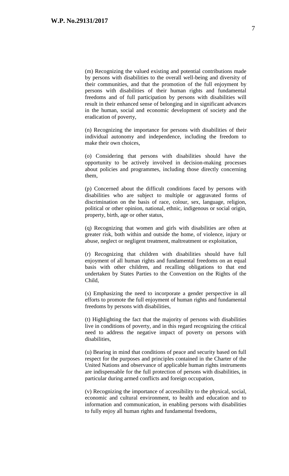(m) Recognizing the valued existing and potential contributions made by persons with disabilities to the overall well-being and diversity of their communities, and that the promotion of the full enjoyment by persons with disabilities of their human rights and fundamental freedoms and of full participation by persons with disabilities will result in their enhanced sense of belonging and in significant advances in the human, social and economic development of society and the eradication of poverty,

(n) Recognizing the importance for persons with disabilities of their individual autonomy and independence, including the freedom to make their own choices,

(o) Considering that persons with disabilities should have the opportunity to be actively involved in decision-making processes about policies and programmes, including those directly concerning them,

(p) Concerned about the difficult conditions faced by persons with disabilities who are subject to multiple or aggravated forms of discrimination on the basis of race, colour, sex, language, religion, political or other opinion, national, ethnic, indigenous or social origin, property, birth, age or other status,

(q) Recognizing that women and girls with disabilities are often at greater risk, both within and outside the home, of violence, injury or abuse, neglect or negligent treatment, maltreatment or exploitation,

(r) Recognizing that children with disabilities should have full enjoyment of all human rights and fundamental freedoms on an equal basis with other children, and recalling obligations to that end undertaken by States Parties to the Convention on the Rights of the Child,

(s) Emphasizing the need to incorporate a gender perspective in all efforts to promote the full enjoyment of human rights and fundamental freedoms by persons with disabilities,

(t) Highlighting the fact that the majority of persons with disabilities live in conditions of poverty, and in this regard recognizing the critical need to address the negative impact of poverty on persons with disabilities,

(u) Bearing in mind that conditions of peace and security based on full respect for the purposes and principles contained in the Charter of the United Nations and observance of applicable human rights instruments are indispensable for the full protection of persons with disabilities, in particular during armed conflicts and foreign occupation,

(v) Recognizing the importance of accessibility to the physical, social, economic and cultural environment, to health and education and to information and communication, in enabling persons with disabilities to fully enjoy all human rights and fundamental freedoms,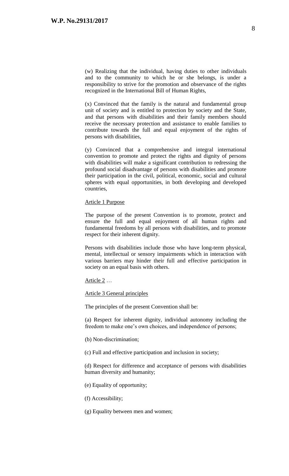(w) Realizing that the individual, having duties to other individuals and to the community to which he or she belongs, is under a responsibility to strive for the promotion and observance of the rights recognized in the International Bill of Human Rights,

(x) Convinced that the family is the natural and fundamental group unit of society and is entitled to protection by society and the State, and that persons with disabilities and their family members should receive the necessary protection and assistance to enable families to contribute towards the full and equal enjoyment of the rights of persons with disabilities,

(y) Convinced that a comprehensive and integral international convention to promote and protect the rights and dignity of persons with disabilities will make a significant contribution to redressing the profound social disadvantage of persons with disabilities and promote their participation in the civil, political, economic, social and cultural spheres with equal opportunities, in both developing and developed countries,

### Article 1 Purpose

The purpose of the present Convention is to promote, protect and ensure the full and equal enjoyment of all human rights and fundamental freedoms by all persons with disabilities, and to promote respect for their inherent dignity.

Persons with disabilities include those who have long-term physical, mental, intellectual or sensory impairments which in interaction with various barriers may hinder their full and effective participation in society on an equal basis with others.

Article 2 …

Article 3 General principles

The principles of the present Convention shall be:

(a) Respect for inherent dignity, individual autonomy including the freedom to make one's own choices, and independence of persons;

(b) Non-discrimination;

(c) Full and effective participation and inclusion in society;

(d) Respect for difference and acceptance of persons with disabilities human diversity and humanity;

(e) Equality of opportunity;

(f) Accessibility;

(g) Equality between men and women;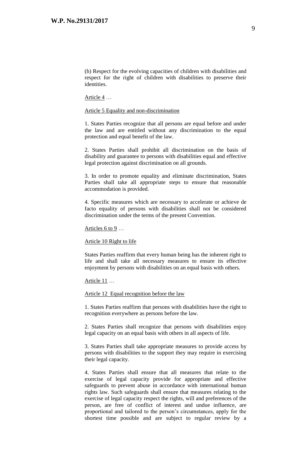(h) Respect for the evolving capacities of children with disabilities and respect for the right of children with disabilities to preserve their identities.

Article 4 …

### Article 5 Equality and non-discrimination

1. States Parties recognize that all persons are equal before and under the law and are entitled without any discrimination to the equal protection and equal benefit of the law.

2. States Parties shall prohibit all discrimination on the basis of disability and guarantee to persons with disabilities equal and effective legal protection against discrimination on all grounds.

3. In order to promote equality and eliminate discrimination, States Parties shall take all appropriate steps to ensure that reasonable accommodation is provided.

4. Specific measures which are necessary to accelerate or achieve de facto equality of persons with disabilities shall not be considered discrimination under the terms of the present Convention.

Articles 6 to 9 …

Article 10 Right to life

States Parties reaffirm that every human being has the inherent right to life and shall take all necessary measures to ensure its effective enjoyment by persons with disabilities on an equal basis with others.

Article 11 ...

#### Article 12 Equal recognition before the law

1. States Parties reaffirm that persons with disabilities have the right to recognition everywhere as persons before the law.

2. States Parties shall recognize that persons with disabilities enjoy legal capacity on an equal basis with others in all aspects of life.

3. States Parties shall take appropriate measures to provide access by persons with disabilities to the support they may require in exercising their legal capacity.

4. States Parties shall ensure that all measures that relate to the exercise of legal capacity provide for appropriate and effective safeguards to prevent abuse in accordance with international human rights law. Such safeguards shall ensure that measures relating to the exercise of legal capacity respect the rights, will and preferences of the person, are free of conflict of interest and undue influence, are proportional and tailored to the person's circumstances, apply for the shortest time possible and are subject to regular review by a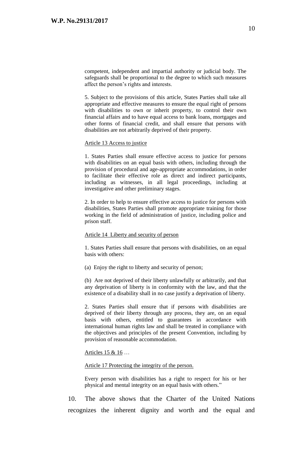competent, independent and impartial authority or judicial body. The safeguards shall be proportional to the degree to which such measures affect the person's rights and interests.

5. Subject to the provisions of this article, States Parties shall take all appropriate and effective measures to ensure the equal right of persons with disabilities to own or inherit property, to control their own financial affairs and to have equal access to bank loans, mortgages and other forms of financial credit, and shall ensure that persons with disabilities are not arbitrarily deprived of their property.

### Article 13 Access to justice

1. States Parties shall ensure effective access to justice for persons with disabilities on an equal basis with others, including through the provision of procedural and age-appropriate accommodations, in order to facilitate their effective role as direct and indirect participants, including as witnesses, in all legal proceedings, including at investigative and other preliminary stages.

2. In order to help to ensure effective access to justice for persons with disabilities, States Parties shall promote appropriate training for those working in the field of administration of justice, including police and prison staff.

#### Article 14 Liberty and security of person

1. States Parties shall ensure that persons with disabilities, on an equal basis with others:

(a) Enjoy the right to liberty and security of person;

(b) Are not deprived of their liberty unlawfully or arbitrarily, and that any deprivation of liberty is in conformity with the law, and that the existence of a disability shall in no case justify a deprivation of liberty.

2. States Parties shall ensure that if persons with disabilities are deprived of their liberty through any process, they are, on an equal basis with others, entitled to guarantees in accordance with international human rights law and shall be treated in compliance with the objectives and principles of the present Convention, including by provision of reasonable accommodation.

Articles 15 & 16 ...

Article 17 Protecting the integrity of the person.

Every person with disabilities has a right to respect for his or her physical and mental integrity on an equal basis with others."

10. The above shows that the Charter of the United Nations recognizes the inherent dignity and worth and the equal and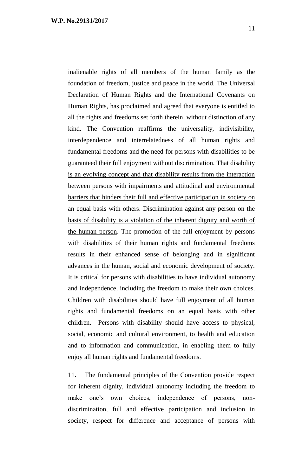inalienable rights of all members of the human family as the foundation of freedom, justice and peace in the world. The Universal Declaration of Human Rights and the International Covenants on Human Rights, has proclaimed and agreed that everyone is entitled to all the rights and freedoms set forth therein, without distinction of any kind. The Convention reaffirms the universality, indivisibility, interdependence and interrelatedness of all human rights and fundamental freedoms and the need for persons with disabilities to be guaranteed their full enjoyment without discrimination. That disability is an evolving concept and that disability results from the interaction between persons with impairments and attitudinal and environmental barriers that hinders their full and effective participation in society on an equal basis with others. Discrimination against any person on the basis of disability is a violation of the inherent dignity and worth of the human person. The promotion of the full enjoyment by persons with disabilities of their human rights and fundamental freedoms results in their enhanced sense of belonging and in significant advances in the human, social and economic development of society. It is critical for persons with disabilities to have individual autonomy and independence, including the freedom to make their own choices. Children with disabilities should have full enjoyment of all human rights and fundamental freedoms on an equal basis with other children. Persons with disability should have access to physical, social, economic and cultural environment, to health and education and to information and communication, in enabling them to fully enjoy all human rights and fundamental freedoms.

11. The fundamental principles of the Convention provide respect for inherent dignity, individual autonomy including the freedom to make one's own choices, independence of persons, nondiscrimination, full and effective participation and inclusion in society, respect for difference and acceptance of persons with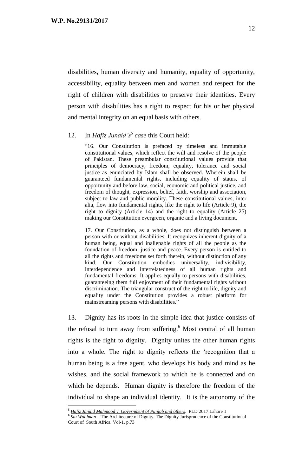disabilities, human diversity and humanity, equality of opportunity, accessibility, equality between men and women and respect for the right of children with disabilities to preserve their identities. Every person with disabilities has a right to respect for his or her physical and mental integrity on an equal basis with others.

# 12. In *Hafiz Junaid's<sup>5</sup> case* this Court held:

―16. Our Constitution is prefaced by timeless and immutable constitutional values, which reflect the will and resolve of the people of Pakistan. These preambular constitutional values provide that principles of democracy, freedom, equality, tolerance and social justice as enunciated by Islam shall be observed. Wherein shall be guaranteed fundamental rights, including equality of status, of opportunity and before law, social, economic and political justice, and freedom of thought, expression, belief, faith, worship and association, subject to law and public morality. These constitutional values, inter alia, flow into fundamental rights, like the right to life (Article 9), the right to dignity (Article 14) and the right to equality (Article 25) making our Constitution evergreen, organic and a living document.

17. Our Constitution, as a whole, does not distinguish between a person with or without disabilities. It recognizes inherent dignity of a human being, equal and inalienable rights of all the people as the foundation of freedom, justice and peace. Every person is entitled to all the rights and freedoms set forth therein, without distinction of any kind. Our Constitution embodies universality, indivisibility, interdependence and interrelatedness of all human rights and fundamental freedoms. It applies equally to persons with disabilities, guaranteeing them full enjoyment of their fundamental rights without discrimination. The triangular construct of the right to life, dignity and equality under the Constitution provides a robust platform for mainstreaming persons with disabilities."

13. Dignity has its roots in the simple idea that justice consists of the refusal to turn away from suffering.<sup>6</sup> Most central of all human rights is the right to dignity. Dignity unites the other human rights into a whole. The right to dignity reflects the 'recognition that a human being is a free agent, who develops his body and mind as he wishes, and the social framework to which he is connected and on which he depends. Human dignity is therefore the freedom of the individual to shape an individual identity. It is the autonomy of the

**<sup>5</sup>** *Hafiz Junaid Mahmood v. Government of Punjab and others*. PLD 2017 Lahore 1

**<sup>6</sup>** *Stu Woolman* – The Architecture of Dignity. The Dignity Jurisprudence of the Constitutional Court of South Africa. Vol-1, p.73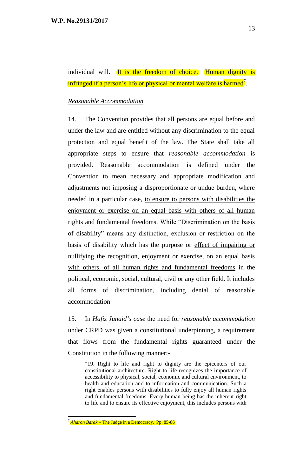individual will. It is the freedom of choice. Human dignity is infringed if a person's life or physical or mental welfare is harmed<sup>7</sup>.

## *Reasonable Accommodation*

14. The Convention provides that all persons are equal before and under the law and are entitled without any discrimination to the equal protection and equal benefit of the law. The State shall take all appropriate steps to ensure that *reasonable accommodation* is provided. Reasonable accommodation is defined under the Convention to mean necessary and appropriate modification and adjustments not imposing a disproportionate or undue burden, where needed in a particular case, to ensure to persons with disabilities the enjoyment or exercise on an equal basis with others of all human rights and fundamental freedoms. While "Discrimination on the basis of disability‖ means any distinction, exclusion or restriction on the basis of disability which has the purpose or effect of impairing or nullifying the recognition, enjoyment or exercise, on an equal basis with others, of all human rights and fundamental freedoms in the political, economic, social, cultural, civil or any other field. It includes all forms of discrimination, including denial of reasonable accommodation

15. In *Hafiz Junaid's case* the need for *reasonable accommodation* under CRPD was given a constitutional underpinning, a requirement that flows from the fundamental rights guaranteed under the Constitution in the following manner:-

―19. Right to life and right to dignity are the epicenters of our constitutional architecture. Right to life recognizes the importance of accessibility to physical, social, economic and cultural environment, to health and education and to information and communication. Such a right enables persons with disabilities to fully enjoy all human rights and fundamental freedoms. Every human being has the inherent right to life and to ensure its effective enjoyment, this includes persons with

<sup>7</sup> *Aharon Barak* – The Judge in a Democracy. Pp. 85-86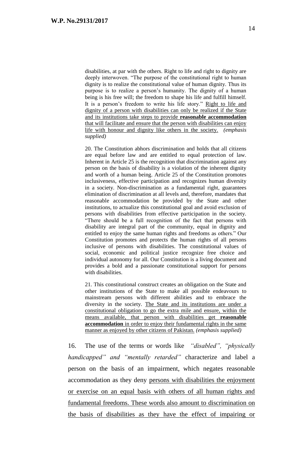disabilities, at par with the others. Right to life and right to dignity are deeply interwoven. "The purpose of the constitutional right to human dignity is to realize the constitutional value of human dignity. Thus its purpose is to realize a person's humanity. The dignity of a human being is his free will; the freedom to shape his life and fulfill himself. It is a person's freedom to write his life story." Right to life and dignity of a person with disabilities can only be realized if the State and its institutions take steps to provide **reasonable accommodation** that will facilitate and ensure that the person with disabilities can enjoy life with honour and dignity like others in the society. *(emphasis supplied)*

20. The Constitution abhors discrimination and holds that all citizens are equal before law and are entitled to equal protection of law. Inherent in Article 25 is the recognition that discrimination against any person on the basis of disability is a violation of the inherent dignity and worth of a human being. Article 25 of the Constitution promotes inclusiveness, effective participation and recognizes human diversity in a society. Non-discrimination as a fundamental right, guarantees elimination of discrimination at all levels and, therefore, mandates that reasonable accommodation be provided by the State and other institutions, to actualize this constitutional goal and avoid exclusion of persons with disabilities from effective participation in the society. ―There should be a full recognition of the fact that persons with disability are integral part of the community, equal in dignity and entitled to enjoy the same human rights and freedoms as others." Our Constitution promotes and protects the human rights of all persons inclusive of persons with disabilities. The constitutional values of social, economic and political justice recognize free choice and individual autonomy for all. Our Constitution is a living document and provides a bold and a passionate constitutional support for persons with disabilities.

21. This constitutional construct creates an obligation on the State and other institutions of the State to make all possible endeavours to mainstream persons with different abilities and to embrace the diversity in the society. The State and its institutions are under a constitutional obligation to go the extra mile and ensure, within the means available, that person with disabilities get **reasonable accommodation** in order to enjoy their fundamental rights in the same manner as enjoyed by other citizens of Pakistan. *(emphasis supplied)*

16. The use of the terms or words like *"disabled", "physically handicapped" and "mentally retarded"* characterize and label a person on the basis of an impairment, which negates reasonable accommodation as they deny persons with disabilities the enjoyment or exercise on an equal basis with others of all human rights and fundamental freedoms. These words also amount to discrimination on the basis of disabilities as they have the effect of impairing or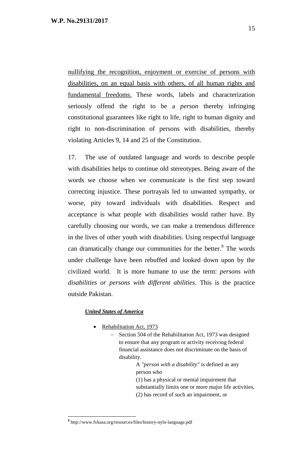nullifying the recognition, enjoyment or exercise of persons with disabilities, on an equal basis with others, of all human rights and fundamental freedoms. These words, labels and characterization seriously offend the right to be a *person* thereby infringing constitutional guarantees like right to life, right to human dignity and right to non-discrimination of persons with disabilities, thereby violating Articles 9, 14 and 25 of the Constitution.

17. The use of outdated language and words to describe people with disabilities helps to continue old stereotypes. Being aware of the words we choose when we communicate is the first step toward correcting injustice. These portrayals led to unwanted sympathy, or worse, pity toward individuals with disabilities. Respect and acceptance is what people with disabilities would rather have. By carefully choosing our words, we can make a tremendous difference in the lives of other youth with disabilities. Using respectful language can dramatically change our communities for the better.<sup>8</sup> The words under challenge have been rebuffed and looked down upon by the civilized world. It is more humane to use the term: *persons with disabilities or persons with different abilities*. This is the practice outside Pakistan.

## *United States of America*

- Rehabilitation Act, 1973
	- Section 504 of the Rehabilitation Act, 1973 was designed to ensure that any program or activity receiving federal financial assistance does not discriminate on the basis of disability.

A *"person with a disability"* is defined as any person who (1) has a physical or mental impairment that substantially limits one or more major life activities, (2) has record of such an impairment, or

**<sup>8</sup>** http://www.fvkasa.org/resources/files/history-nyln-language.pdf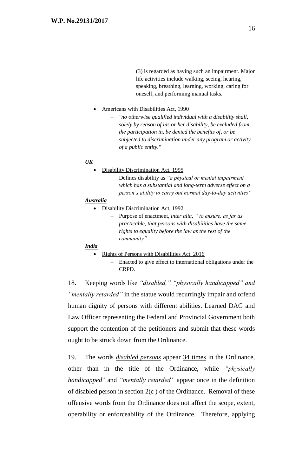(3) is regarded as having such an impairment. Major life activities include walking, seeing, hearing, speaking, breathing, learning, working, caring for oneself, and performing manual tasks.

- Americans with Disabilities Act, 1990
	- *"no otherwise qualified individual with a disability shall, solely by reason of his or her disability, be excluded from the participation in, be denied the benefits of, or be subjected to discrimination under any program or activity of a public entity."*

### *UK*

- Disability Discrimination Act, 1995
	- Defines disability as *"a physical or mental impairment which has a substantial and long-term adverse effect on a person's ability to carry out normal day-to-day activities"*

## *Australia*

- Disability Discrimination Act, 1992
	- Purpose of enactment, *inter alia*, *" to ensure, as far as practicable, that persons with disabilities have the same rights to equality before the law as the rest of the community"*

## *India*

- Rights of Persons with Disabilities Act, 2016
	- Enacted to give effect to international obligations under the CRPD.

18. Keeping words like *"disabled," "physically handicapped" and "mentally retarded"* in the statue would recurringly impair and offend human dignity of persons with different abilities. Learned DAG and Law Officer representing the Federal and Provincial Government both support the contention of the petitioners and submit that these words ought to be struck down from the Ordinance.

19. The words *disabled persons* appear 34 times in the Ordinance, other than in the title of the Ordinance, while *"physically handicapped*" and *"mentally retarded"* appear once in the definition of disabled person in section 2(c ) of the Ordinance. Removal of these offensive words from the Ordinance does not affect the scope, extent, operability or enforceability of the Ordinance. Therefore, applying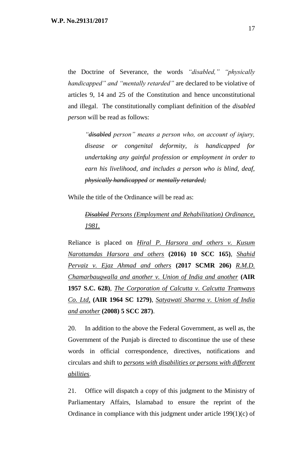the Doctrine of Severance, the words *"disabled," "physically handicapped" and "mentally retarded"* are declared to be violative of articles 9, 14 and 25 of the Constitution and hence unconstitutional and illegal. The constitutionally compliant definition of the *disabled person* will be read as follows:

*"disabled person" means a person who, on account of injury, disease or congenital deformity, is handicapped for undertaking any gainful profession or employment in order to earn his livelihood, and includes a person who is blind, deaf, physically handicapped or mentally retarded;*

While the title of the Ordinance will be read as:

*Disabled Persons (Employment and Rehabilitation) Ordinance, 1981.*

Reliance is placed on *Hiral P. Harsora and others v. Kusum Narottamdas Harsora and others* **(2016) 10 SCC 165)**, *Shahid Pervaiz v. Ejaz Ahmad and others* **(2017 SCMR 206)** *R.M.D. Chamarbaugwalla and another v. Union of India and another* **(AIR 1957 S.C. 628)**, *The Corporation of Calcutta v. Calcutta Tramways Co. Ltd,* **(AIR 1964 SC 1279)**, *Satyawati Sharma v. Union of India and another* **(2008) 5 SCC 287)**.

20. In addition to the above the Federal Government, as well as, the Government of the Punjab is directed to discontinue the use of these words in official correspondence, directives, notifications and circulars and shift to *persons with disabilities or persons with different abilities*.

21. Office will dispatch a copy of this judgment to the Ministry of Parliamentary Affairs, Islamabad to ensure the reprint of the Ordinance in compliance with this judgment under article 199(1)(c) of